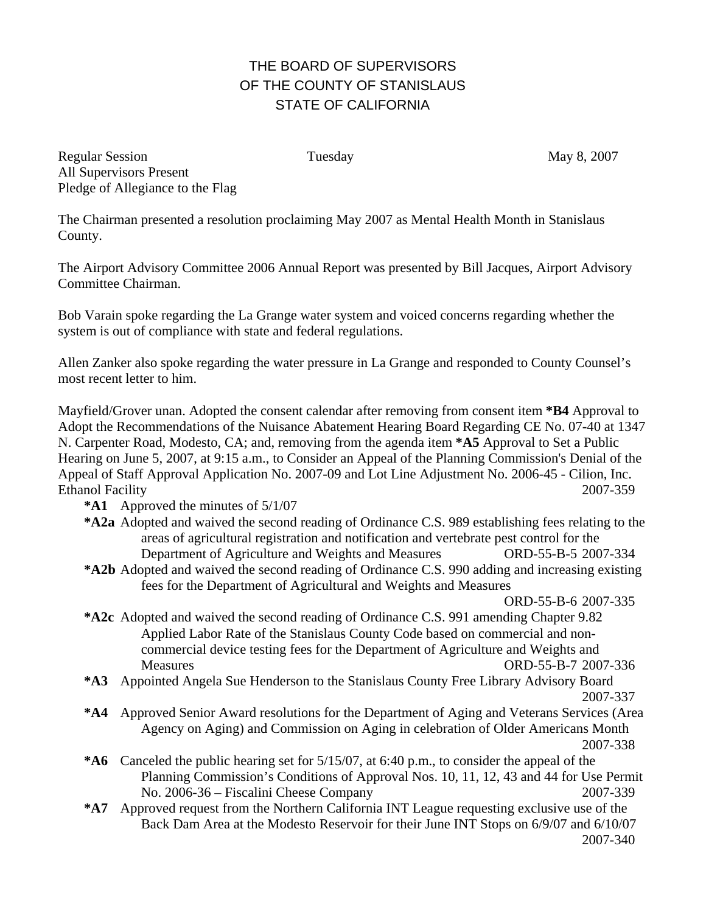## THE BOARD OF SUPERVISORS OF THE COUNTY OF STANISLAUS STATE OF CALIFORNIA

Regular Session Tuesday May 8, 2007 All Supervisors Present Pledge of Allegiance to the Flag

The Chairman presented a resolution proclaiming May 2007 as Mental Health Month in Stanislaus County.

The Airport Advisory Committee 2006 Annual Report was presented by Bill Jacques, Airport Advisory Committee Chairman.

Bob Varain spoke regarding the La Grange water system and voiced concerns regarding whether the system is out of compliance with state and federal regulations.

Allen Zanker also spoke regarding the water pressure in La Grange and responded to County Counsel's most recent letter to him.

Mayfield/Grover unan. Adopted the consent calendar after removing from consent item **\*B4** Approval to Adopt the Recommendations of the Nuisance Abatement Hearing Board Regarding CE No. 07-40 at 1347 N. Carpenter Road, Modesto, CA; and, removing from the agenda item **\*A5** Approval to Set a Public Hearing on June 5, 2007, at 9:15 a.m., to Consider an Appeal of the Planning Commission's Denial of the Appeal of Staff Approval Application No. 2007-09 and Lot Line Adjustment No. 2006-45 - Cilion, Inc. Ethanol Facility 2007-359

**\*A1** Approved the minutes of 5/1/07

- **\*A2 a** Adopted and waived the second reading of Ordinance C.S. 989 establishing fees relating to the areas of agricultural registration and notification and vertebrate pest control for the Department of Agriculture and Weights and Measures ORD-55-B-5 2007-334
- **\*A2 b** Adopted and waived the second reading of Ordinance C.S. 990 adding and increasing existing fees for the Department of Agricultural and Weights and Measures

ORD-55-B-6 2007-335

- **\*A2 c** Adopted and waived the second reading of Ordinance C.S. 991 amending Chapter 9.82 Applied Labor Rate of the Stanislaus County Code based on commercial and noncommercial device testing fees for the Department of Agriculture and Weights and Measures ORD-55-B-7 2007-336
- **\*A3** Appointed Angela Sue Henderson to the Stanislaus County Free Library Advisory Board 2007-337
- **\*A4** Approved Senior Award resolutions for the Department of Aging and Veterans Services (Area Agency on Aging) and Commission on Aging in celebration of Older Americans Month 2007-338
- **\*A6** Canceled the public hearing set for 5/15/07, at 6:40 p.m., to consider the appeal of the Planning Commission's Conditions of Approval Nos. 10, 11, 12, 43 and 44 for Use Permit No. 2006-36 – Fiscalini Cheese Company 2007-339
- **\*A7** Approved request from the Northern California INT League requesting exclusive use of the Back Dam Area at the Modesto Reservoir for their June INT Stops on 6/9/07 and 6/10/07 2007-340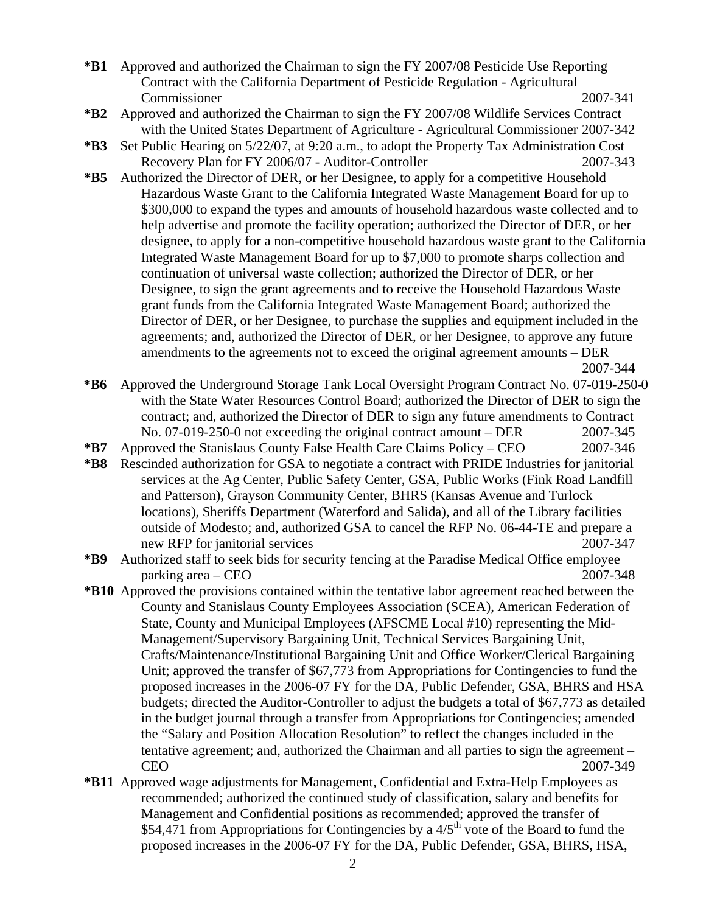- **\*B1** Approved and authorized the Chairman to sign the FY 2007/08 Pesticide Use Reporting Contract with the California Department of Pesticide Regulation - Agricultural Commissioner 2007-341
- **\*B2** Approved and authorized the Chairman to sign the FY 2007/08 Wildlife Services Contract with the United States Department of Agriculture - Agricultural Commissioner 2007-342
- **\*B3** Set Public Hearing on 5/22/07, at 9:20 a.m., to adopt the Property Tax Administration Cost Recovery Plan for FY 2006/07 - Auditor-Controller 2007-343
- **\*B5** Authorized the Director of DER, or her Designee, to apply for a competitive Household Hazardous Waste Grant to the California Integrated Waste Management Board for up to \$300,000 to expand the types and amounts of household hazardous waste collected and to help advertise and promote the facility operation; authorized the Director of DER, or her designee, to apply for a non-competitive household hazardous waste grant to the California Integrated Waste Management Board for up to \$7,000 to promote sharps collection and continuation of universal waste collection; authorized the Director of DER, or her Designee, to sign the grant agreements and to receive the Household Hazardous Waste grant funds from the California Integrated Waste Management Board; authorized the Director of DER, or her Designee, to purchase the supplies and equipment included in the agreements; and, authorized the Director of DER, or her Designee, to approve any future amendments to the agreements not to exceed the original agreement amounts – DER 2007-344

- **\*B6** Approved the Underground Storage Tank Local Oversight Program Contract No. 07-019-250-0 with the State Water Resources Control Board; authorized the Director of DER to sign the contract; and, authorized the Director of DER to sign any future amendments to Contract No. 07-019-250-0 not exceeding the original contract amount – DER 2007-345
- **\*B7** Approved the Stanislaus County False Health Care Claims Policy CEO 2007-346
- **\*B8** Rescinded authorization for GSA to negotiate a contract with PRIDE Industries for janitorial services at the Ag Center, Public Safety Center, GSA, Public Works (Fink Road Landfill and Patterson), Grayson Community Center, BHRS (Kansas Avenue and Turlock locations), Sheriffs Department (Waterford and Salida), and all of the Library facilities outside of Modesto; and, authorized GSA to cancel the RFP No. 06-44-TE and prepare a new RFP for janitorial services 2007-347
- **\*B9** Authorized staff to seek bids for security fencing at the Paradise Medical Office employee parking area – CEO 2007-348
- **\*B10** Approved the provisions contained within the tentative labor agreement reached between the County and Stanislaus County Employees Association (SCEA), American Federation of State, County and Municipal Employees (AFSCME Local #10) representing the Mid-Management/Supervisory Bargaining Unit, Technical Services Bargaining Unit, Crafts/Maintenance/Institutional Bargaining Unit and Office Worker/Clerical Bargaining Unit; approved the transfer of \$67,773 from Appropriations for Contingencies to fund the proposed increases in the 2006-07 FY for the DA, Public Defender, GSA, BHRS and HSA budgets; directed the Auditor-Controller to adjust the budgets a total of \$67,773 as detailed in the budget journal through a transfer from Appropriations for Contingencies; amended the "Salary and Position Allocation Resolution" to reflect the changes included in the tentative agreement; and, authorized the Chairman and all parties to sign the agreement – CEO 2007-349
- **\*B11** Approved wage adjustments for Management, Confidential and Extra-Help Employees as recommended; authorized the continued study of classification, salary and benefits for Management and Confidential positions as recommended; approved the transfer of \$54,471 from Appropriations for Contingencies by a  $4/5<sup>th</sup>$  vote of the Board to fund the proposed increases in the 2006-07 FY for the DA, Public Defender, GSA, BHRS, HSA,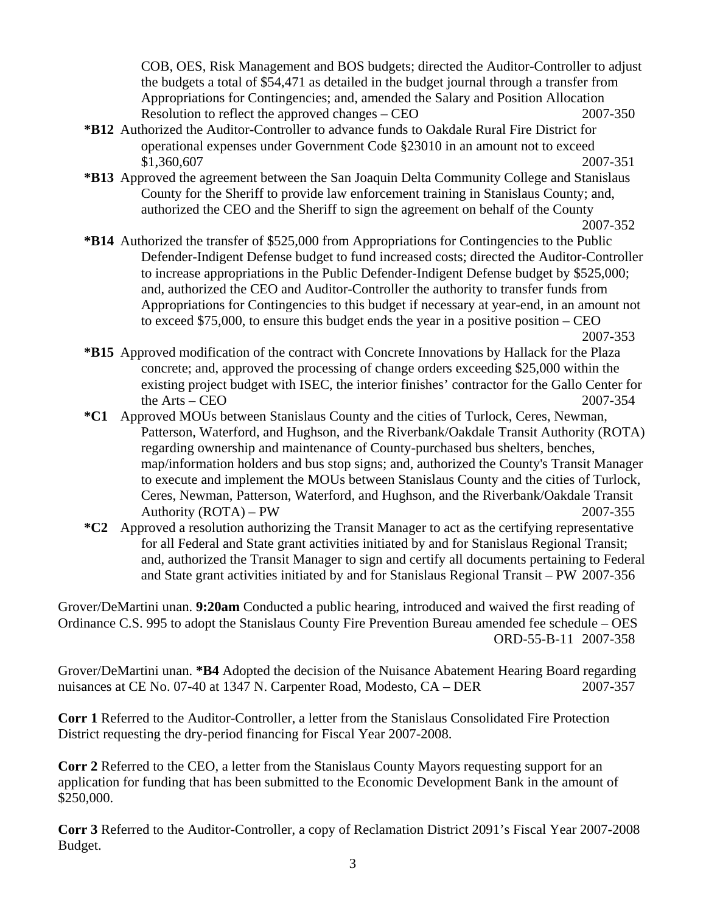COB, OES, Risk Management and BOS budgets; directed the Auditor-Controller to adjust the budgets a total of \$54,471 as detailed in the budget journal through a transfer from Appropriations for Contingencies; and, amended the Salary and Position Allocation Resolution to reflect the approved changes – CEO 2007-350

- **\*B12** Authorized the Auditor-Controller to advance funds to Oakdale Rural Fire District for operational expenses under Government Code §23010 in an amount not to exceed \$1,360,607 2007-351
- **\*B13** Approved the agreement between the San Joaquin Delta Community College and Stanislaus County for the Sheriff to provide law enforcement training in Stanislaus County; and, authorized the CEO and the Sheriff to sign the agreement on behalf of the County

2007-352

**\*B14** Authorized the transfer of \$525,000 from Appropriations for Contingencies to the Public Defender-Indigent Defense budget to fund increased costs; directed the Auditor-Controller to increase appropriations in the Public Defender-Indigent Defense budget by \$525,000; and, authorized the CEO and Auditor-Controller the authority to transfer funds from Appropriations for Contingencies to this budget if necessary at year-end, in an amount not to exceed \$75,000, to ensure this budget ends the year in a positive position – CEO 2007-353

- **\*B15** Approved modification of the contract with Concrete Innovations by Hallack for the Plaza concrete; and, approved the processing of change orders exceeding \$25,000 within the existing project budget with ISEC, the interior finishes' contractor for the Gallo Center for the Arts – CEO  $2007-354$
- **\*C1** Approved MOUs between Stanislaus County and the cities of Turlock, Ceres, Newman, Patterson, Waterford, and Hughson, and the Riverbank/Oakdale Transit Authority (ROTA) regarding ownership and maintenance of County-purchased bus shelters, benches, map/information holders and bus stop signs; and, authorized the County's Transit Manager to execute and implement the MOUs between Stanislaus County and the cities of Turlock, Ceres, Newman, Patterson, Waterford, and Hughson, and the Riverbank/Oakdale Transit Authority (ROTA) – PW 2007-355
- **\*C2** Approved a resolution authorizing the Transit Manager to act as the certifying representative for all Federal and State grant activities initiated by and for Stanislaus Regional Transit; and, authorized the Transit Manager to sign and certify all documents pertaining to Federal and State grant activities initiated by and for Stanislaus Regional Transit – PW 2007-356

Grover/DeMartini unan. **9:20am** Conducted a public hearing, introduced and waived the first reading of Ordinance C.S. 995 to adopt the Stanislaus County Fire Prevention Bureau amended fee schedule – OES ORD-55-B-11 2007-358

Grover/DeMartini unan. **\*B4** Adopted the decision of the Nuisance Abatement Hearing Board regarding nuisances at CE No. 07-40 at 1347 N. Carpenter Road, Modesto, CA – DER 2007-357

**Corr 1** Referred to the Auditor-Controller, a letter from the Stanislaus Consolidated Fire Protection District requesting the dry-period financing for Fiscal Year 2007-2008.

**Corr 2** Referred to the CEO, a letter from the Stanislaus County Mayors requesting support for an application for funding that has been submitted to the Economic Development Bank in the amount of \$250,000.

**Corr 3** Referred to the Auditor-Controller, a copy of Reclamation District 2091's Fiscal Year 2007-2008 Budget.